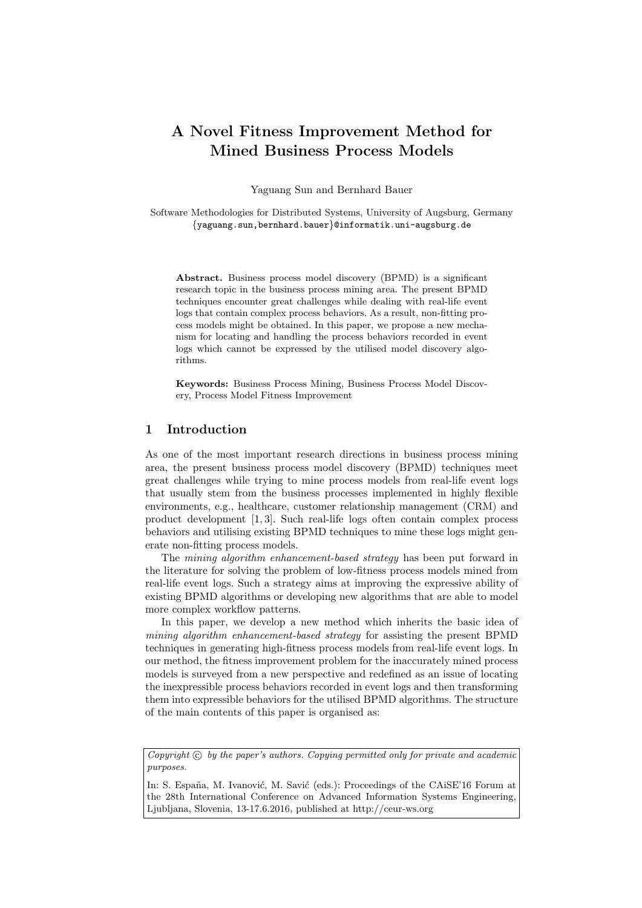# A Novel Fitness Improvement Method for Mined Business Process Models

Yaguang Sun and Bernhard Bauer

Software Methodologies for Distributed Systems, University of Augsburg, Germany {yaguang.sun,bernhard.bauer}@informatik.uni-augsburg.de

Abstract. Business process model discovery (BPMD) is a significant research topic in the business process mining area. The present BPMD techniques encounter great challenges while dealing with real-life event logs that contain complex process behaviors. As a result, non-fitting process models might be obtained. In this paper, we propose a new mechanism for locating and handling the process behaviors recorded in event logs which cannot be expressed by the utilised model discovery algorithms.

Keywords: Business Process Mining, Business Process Model Discovery, Process Model Fitness Improvement

# 1 Introduction

As one of the most important research directions in business process mining area, the present business process model discovery (BPMD) techniques meet great challenges while trying to mine process models from real-life event logs that usually stem from the business processes implemented in highly flexible environments, e.g., healthcare, customer relationship management (CRM) and product development [1, 3]. Such real-life logs often contain complex process behaviors and utilising existing BPMD techniques to mine these logs might generate non-fitting process models.

The mining algorithm enhancement-based strategy has been put forward in the literature for solving the problem of low-fitness process models mined from real-life event logs. Such a strategy aims at improving the expressive ability of existing BPMD algorithms or developing new algorithms that are able to model more complex workflow patterns.

In this paper, we develop a new method which inherits the basic idea of mining algorithm enhancement-based strategy for assisting the present BPMD techniques in generating high-fitness process models from real-life event logs. In our method, the fitness improvement problem for the inaccurately mined process models is surveyed from a new perspective and redefined as an issue of locating the inexpressible process behaviors recorded in event logs and then transforming them into expressible behaviors for the utilised BPMD algorithms. The structure of the main contents of this paper is organised as:

Copyright  $\odot$  by the paper's authors. Copying permitted only for private and academic purposes.

In: S. España, M. Ivanović, M. Savić (eds.): Proceedings of the CAiSE'16 Forum at the 28th International Conference on Advanced Information Systems Engineering, Ljubljana, Slovenia, 13-17.6.2016, published at http://ceur-ws.org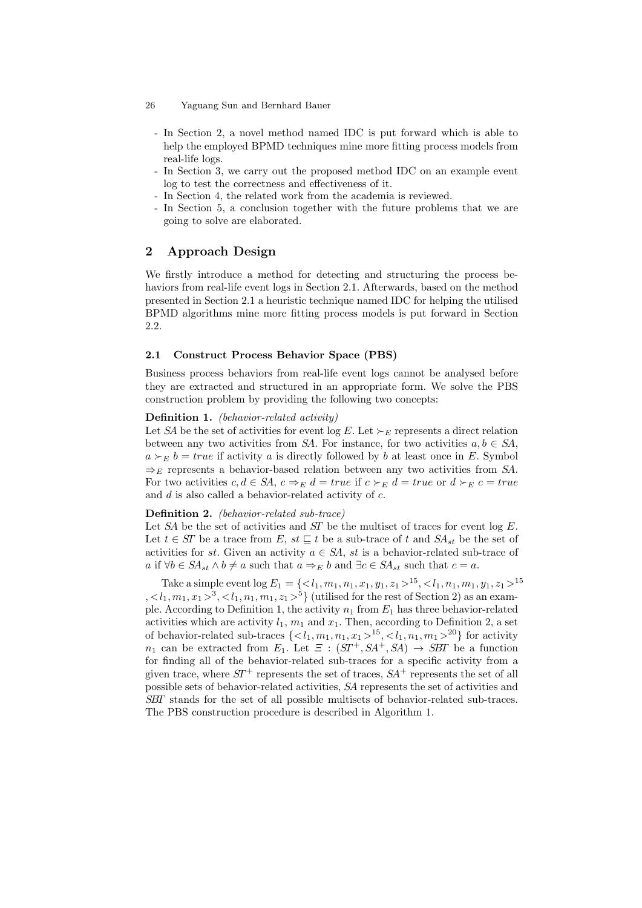- In Section 2, a novel method named IDC is put forward which is able to help the employed BPMD techniques mine more fitting process models from real-life logs.
- In Section 3, we carry out the proposed method IDC on an example event log to test the correctness and effectiveness of it.
- In Section 4, the related work from the academia is reviewed.
- In Section 5, a conclusion together with the future problems that we are going to solve are elaborated.

## 2 Approach Design

We firstly introduce a method for detecting and structuring the process behaviors from real-life event logs in Section 2.1. Afterwards, based on the method presented in Section 2.1 a heuristic technique named IDC for helping the utilised BPMD algorithms mine more fitting process models is put forward in Section 2.2.

### 2.1 Construct Process Behavior Space (PBS)

Business process behaviors from real-life event logs cannot be analysed before they are extracted and structured in an appropriate form. We solve the PBS construction problem by providing the following two concepts:

### Definition 1. (behavior-related activity)

Let SA be the set of activities for event log E. Let  $\succ_E$  represents a direct relation between any two activities from SA. For instance, for two activities  $a, b \in SA$ ,  $a \succ_E b = true$  if activity a is directly followed by b at least once in E. Symbol  $\Rightarrow_E$  represents a behavior-based relation between any two activities from SA. For two activities  $c, d \in SA$ ,  $c \Rightarrow_E d = true$  if  $c \succ_E d = true$  or  $d \succ_E c = true$ and  $d$  is also called a behavior-related activity of  $c$ .

### Definition 2. (behavior-related sub-trace)

Let SA be the set of activities and ST be the multiset of traces for event log  $E$ . Let  $t \in ST$  be a trace from E,  $st \sqsubseteq t$  be a sub-trace of t and  $SA_{st}$  be the set of activities for st. Given an activity  $a \in SA$ , st is a behavior-related sub-trace of a if  $\forall b \in SA_{st} \land b \neq a$  such that  $a \Rightarrow_E b$  and  $\exists c \in SA_{st}$  such that  $c = a$ .

Take a simple event  $\log E_1 = \{ \langle l_1, m_1, n_1, x_1, y_1, z_1 \rangle^{15}, \langle l_1, n_1, m_1, y_1, z_1 \rangle^{15} \}$  $, ^3, ^5$  (utilised for the rest of Section 2) as an example. According to Definition 1, the activity  $n_1$  from  $E_1$  has three behavior-related activities which are activity  $l_1$ ,  $m_1$  and  $x_1$ . Then, according to Definition 2, a set of behavior-related sub-traces  $\{^{15}, ^{20}\}$  for activity  $n_1$  can be extracted from  $E_1$ . Let  $\mathcal{F}$  :  $(ST^+, SA^+, SA) \rightarrow SBT$  be a function for finding all of the behavior-related sub-traces for a specific activity from a given trace, where  $ST^+$  represents the set of traces,  $SA^+$  represents the set of all possible sets of behavior-related activities, SA represents the set of activities and SBT stands for the set of all possible multisets of behavior-related sub-traces. The PBS construction procedure is described in Algorithm 1.

<sup>26</sup> Yaguang Sun and Bernhard Bauer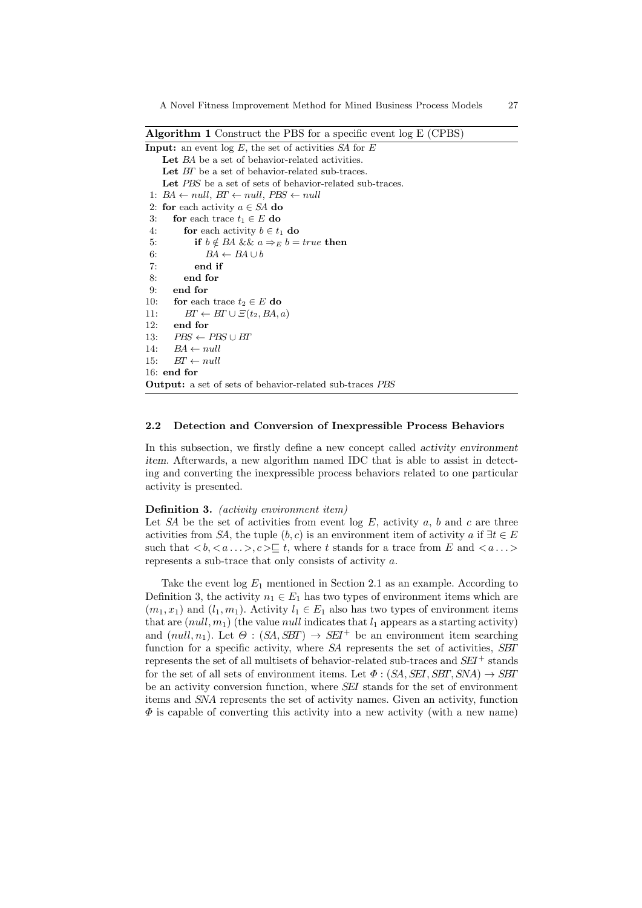Algorithm 1 Construct the PBS for a specific event log E (CPBS)

```
Input: an event log E, the set of activities SA for ELet BA be a set of behavior-related activities.
   Let BT be a set of behavior-related sub-traces.
   Let PBS be a set of sets of behavior-related sub-traces.
1: BA \leftarrow null, BT \leftarrow null, PBS \leftarrow null2: for each activity a \in SA do
3: for each trace t_1 \in E do
4: for each activity b \in t_1 do
5: if b \notin BA && a \Rightarrow_E b = true then
6: BA \leftarrow BA \cup b7: end if
8: end for
9: end for
10: for each trace t_2 \in E do
11: BT \leftarrow BT \cup \Xi(t_2, BA, a)12: end for
13: PBS \leftarrow PBS \cup BT14: BA \leftarrow null15: BT \leftarrow null16: end for
Output: a set of sets of behavior-related sub-traces PBS
```
### 2.2 Detection and Conversion of Inexpressible Process Behaviors

In this subsection, we firstly define a new concept called activity environment item. Afterwards, a new algorithm named IDC that is able to assist in detecting and converting the inexpressible process behaviors related to one particular activity is presented.

#### Definition 3. (activity environment item)

Let SA be the set of activities from event  $log E$ , activity a, b and c are three activities from SA, the tuple  $(b, c)$  is an environment item of activity a if  $\exists t \in E$ such that  $\langle b, \langle a \dots \rangle, c \rangle \subseteq t$ , where t stands for a trace from E and  $\langle a \dots \rangle$ represents a sub-trace that only consists of activity a.

Take the event  $log E_1$  mentioned in Section 2.1 as an example. According to Definition 3, the activity  $n_1 \in E_1$  has two types of environment items which are  $(m_1, x_1)$  and  $(l_1, m_1)$ . Activity  $l_1 \in E_1$  also has two types of environment items that are  $(null, m_1)$  (the value null indicates that  $l_1$  appears as a starting activity) and  $(null, n_1)$ . Let  $\Theta$ :  $(SA, SBT) \rightarrow SET^+$  be an environment item searching function for a specific activity, where SA represents the set of activities, SBT represents the set of all multisets of behavior-related sub-traces and  $SEI^+$  stands for the set of all sets of environment items. Let  $\Phi : (SA, \overline{SEI}, \overline{SBT}, \overline{SNA}) \rightarrow \overline{SBT}$ be an activity conversion function, where SEI stands for the set of environment items and SNA represents the set of activity names. Given an activity, function  $\Phi$  is capable of converting this activity into a new activity (with a new name)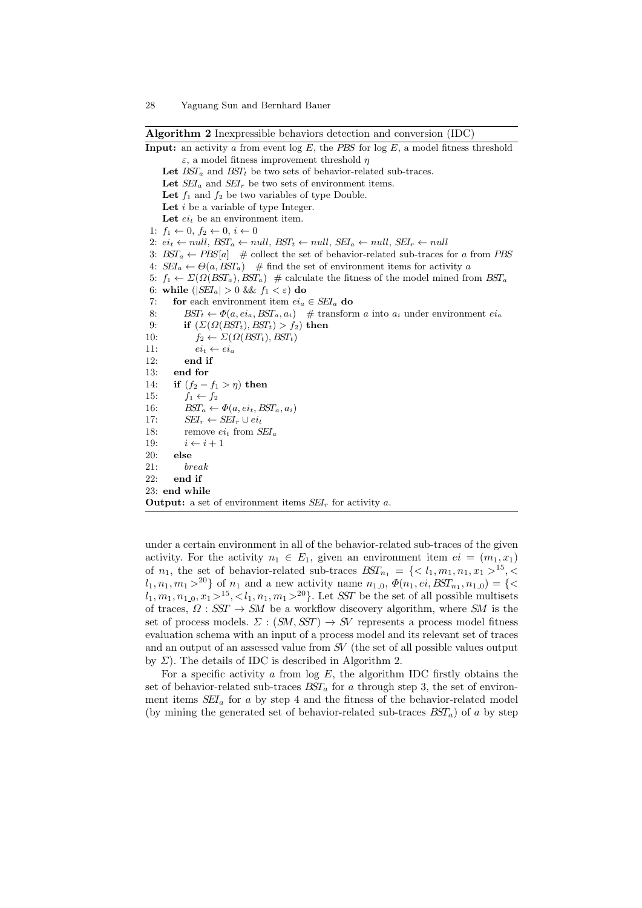Algorithm 2 Inexpressible behaviors detection and conversion (IDC)

**Input:** an activity a from event  $\log E$ , the *PBS* for  $\log E$ , a model fitness threshold ε, a model fitness improvement threshold η Let  $BST_a$  and  $BST_t$  be two sets of behavior-related sub-traces. Let  $\overline{SEI}_a$  and  $\overline{SEI}_r$  be two sets of environment items. Let  $f_1$  and  $f_2$  be two variables of type Double. Let  $i$  be a variable of type Integer. Let  $ei_t$  be an environment item. 1:  $f_1 \leftarrow 0, f_2 \leftarrow 0, i \leftarrow 0$ 2:  $ei_t \leftarrow null$ ,  $BST_a \leftarrow null$ ,  $BST_t \leftarrow null$ ,  $SET_a \leftarrow null$ ,  $SEL_r \leftarrow null$ 3:  $BST_a \leftarrow PBS[a]$  # collect the set of behavior-related sub-traces for a from PBS 4:  $\mathcal{S}EL_a \leftarrow \Theta(a, \mathcal{B}ST_a)$  # find the set of environment items for activity a 5:  $f_1 \leftarrow \Sigma(\Omega(BST_a), BST_a)$  # calculate the fitness of the model mined from  $BST_a$ 6: while  $(|\text{SEI}_a| > 0$  &  $f_1 < \varepsilon$  do 7: for each environment item  $ei_a \in SEI_a$  do 8:  $BST_t \leftarrow \Phi(a, ei_a, BST_a, a_i)$  # transform a into  $a_i$  under environment  $ei_a$ 9: if  $(\Sigma(\Omega(BST_t),BST_t) > f_2)$  then 10:  $f_2 \leftarrow \Sigma(\Omega(BST_t), BST_t)$ 11:  $ei_t \leftarrow ei_a$ 12: end if 13: end for 14: if  $(f_2 - f_1 > \eta)$  then 15:  $f_1 \leftarrow f_2$ 16:  $BST_a \leftarrow \Phi(a, ei_t, BST_a, a_i)$ 17:  $SEI_r \leftarrow SEI_r \cup ei_t$ 18: remove  $ei_t$  from  $SEI_a$ 19:  $i \leftarrow i + 1$ 20: else 21: break 22: end if 23: end while **Output:** a set of environment items  $SEI_r$  for activity a.

under a certain environment in all of the behavior-related sub-traces of the given activity. For the activity  $n_1 \in E_1$ , given an environment item  $ei = (m_1, x_1)$ of  $n_1$ , the set of behavior-related sub-traces  $BST_{n_1} = \{ \langle l_1, m_1, n_1, x_1 \rangle^{15}, \langle$  $l_1, n_1, m_1 >^{20}$  of  $n_1$  and a new activity name  $n_{1,0}, \Phi(n_1, ei, BST_{n_1}, n_{1,0}) = \{ \leq$  $l_1, m_1, n_{1,0}, x_1 >^{15}, l_1, n_1, m_1 >^{20}$ . Let SST be the set of all possible multisets of traces,  $\Omega$ : SST  $\rightarrow$  SM be a workflow discovery algorithm, where SM is the set of process models.  $\Sigma : (SM, SST) \rightarrow SV$  represents a process model fitness evaluation schema with an input of a process model and its relevant set of traces and an output of an assessed value from SV (the set of all possible values output by  $\Sigma$ ). The details of IDC is described in Algorithm 2.

For a specific activity  $\alpha$  from log  $E$ , the algorithm IDC firstly obtains the set of behavior-related sub-traces  $BST_a$  for a through step 3, the set of environment items  $SEI_a$  for a by step 4 and the fitness of the behavior-related model (by mining the generated set of behavior-related sub-traces  $BST_a$ ) of a by step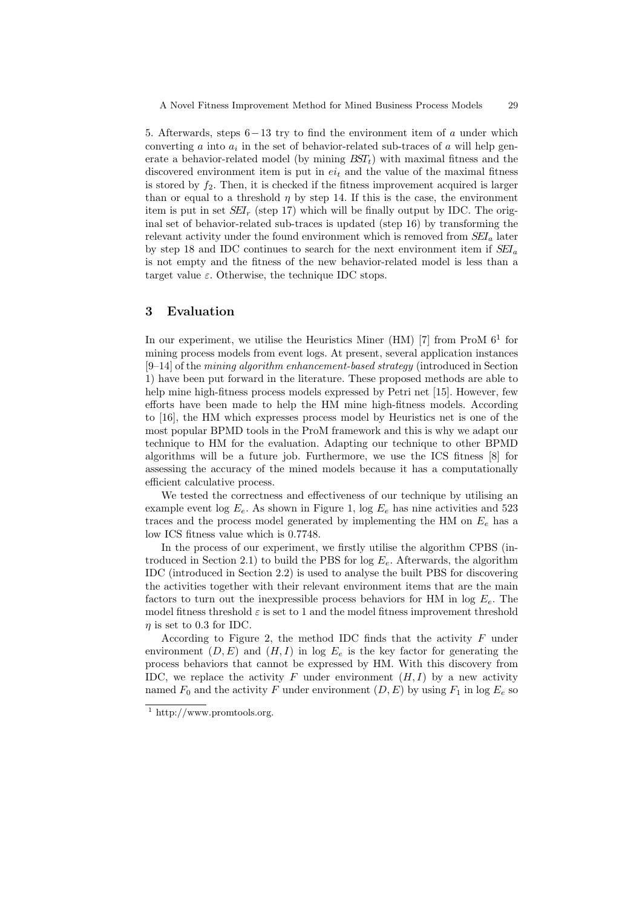5. Afterwards, steps  $6-13$  try to find the environment item of a under which converting  $a$  into  $a_i$  in the set of behavior-related sub-traces of  $a$  will help generate a behavior-related model (by mining  $BST<sub>t</sub>$ ) with maximal fitness and the discovered environment item is put in  $ei_t$  and the value of the maximal fitness is stored by  $f_2$ . Then, it is checked if the fitness improvement acquired is larger than or equal to a threshold  $\eta$  by step 14. If this is the case, the environment item is put in set  $SEI_r$  (step 17) which will be finally output by IDC. The original set of behavior-related sub-traces is updated (step 16) by transforming the relevant activity under the found environment which is removed from  $SEI_a$  later by step 18 and IDC continues to search for the next environment item if  $SEI_a$ is not empty and the fitness of the new behavior-related model is less than a target value  $\varepsilon$ . Otherwise, the technique IDC stops.

# 3 Evaluation

In our experiment, we utilise the Heuristics Miner (HM)  $[7]$  from ProM  $6<sup>1</sup>$  for mining process models from event logs. At present, several application instances  $[9-14]$  of the mining algorithm enhancement-based strategy (introduced in Section 1) have been put forward in the literature. These proposed methods are able to help mine high-fitness process models expressed by Petri net [15]. However, few efforts have been made to help the HM mine high-fitness models. According to [16], the HM which expresses process model by Heuristics net is one of the most popular BPMD tools in the ProM framework and this is why we adapt our technique to HM for the evaluation. Adapting our technique to other BPMD algorithms will be a future job. Furthermore, we use the ICS fitness [8] for assessing the accuracy of the mined models because it has a computationally efficient calculative process.

We tested the correctness and effectiveness of our technique by utilising an example event log  $E_e$ . As shown in Figure 1, log  $E_e$  has nine activities and 523 traces and the process model generated by implementing the HM on  $E_e$  has a low ICS fitness value which is 0.7748.

In the process of our experiment, we firstly utilise the algorithm CPBS (introduced in Section 2.1) to build the PBS for log  $E_e$ . Afterwards, the algorithm IDC (introduced in Section 2.2) is used to analyse the built PBS for discovering the activities together with their relevant environment items that are the main factors to turn out the inexpressible process behaviors for HM in  $log E_e$ . The model fitness threshold  $\varepsilon$  is set to 1 and the model fitness improvement threshold  $\eta$  is set to 0.3 for IDC.

According to Figure 2, the method IDC finds that the activity  $F$  under environment  $(D, E)$  and  $(H, I)$  in log  $E_e$  is the key factor for generating the process behaviors that cannot be expressed by HM. With this discovery from IDC, we replace the activity F under environment  $(H, I)$  by a new activity named  $F_0$  and the activity F under environment  $(D, E)$  by using  $F_1$  in log  $E_e$  so

 $1 \text{ http://www.promtools.org}.$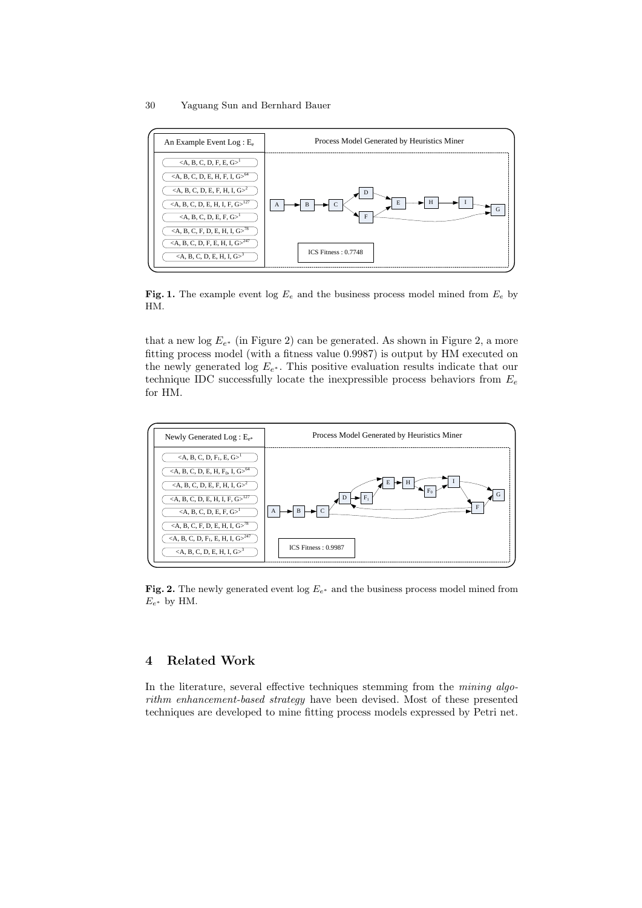### 30 Yaguang Sun and Bernhard Bauer



Fig. 1. The example event log  $E_e$  and the business process model mined from  $E_e$  by HM.

that a new log  $E_{e^*}$  (in Figure 2) can be generated. As shown in Figure 2, a more fitting process model (with a fitness value 0.9987) is output by HM executed on the newly generated log  $E_{e^*}$ . This positive evaluation results indicate that our technique IDC successfully locate the inexpressible process behaviors from  $E_e$ for HM.



Fig. 2. The newly generated event log  $E_{e^*}$  and the business process model mined from  $E_{e^*}$  by HM.

# 4 Related Work

In the literature, several effective techniques stemming from the mining algorithm enhancement-based strategy have been devised. Most of these presented techniques are developed to mine fitting process models expressed by Petri net.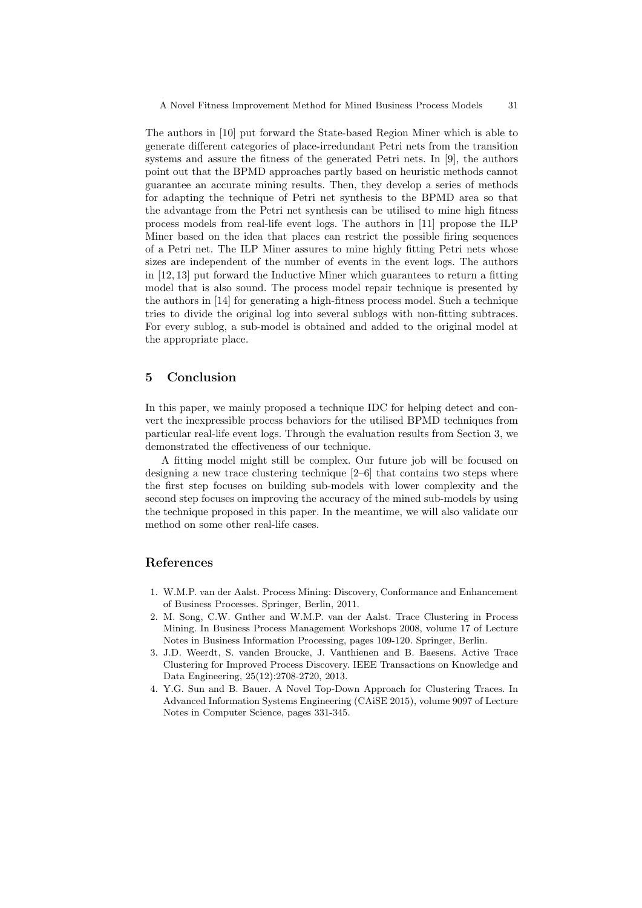The authors in [10] put forward the State-based Region Miner which is able to generate different categories of place-irredundant Petri nets from the transition systems and assure the fitness of the generated Petri nets. In [9], the authors point out that the BPMD approaches partly based on heuristic methods cannot guarantee an accurate mining results. Then, they develop a series of methods for adapting the technique of Petri net synthesis to the BPMD area so that the advantage from the Petri net synthesis can be utilised to mine high fitness process models from real-life event logs. The authors in [11] propose the ILP Miner based on the idea that places can restrict the possible firing sequences of a Petri net. The ILP Miner assures to mine highly fitting Petri nets whose sizes are independent of the number of events in the event logs. The authors in [12, 13] put forward the Inductive Miner which guarantees to return a fitting model that is also sound. The process model repair technique is presented by the authors in [14] for generating a high-fitness process model. Such a technique tries to divide the original log into several sublogs with non-fitting subtraces. For every sublog, a sub-model is obtained and added to the original model at the appropriate place.

## 5 Conclusion

In this paper, we mainly proposed a technique IDC for helping detect and convert the inexpressible process behaviors for the utilised BPMD techniques from particular real-life event logs. Through the evaluation results from Section 3, we demonstrated the effectiveness of our technique.

A fitting model might still be complex. Our future job will be focused on designing a new trace clustering technique [2–6] that contains two steps where the first step focuses on building sub-models with lower complexity and the second step focuses on improving the accuracy of the mined sub-models by using the technique proposed in this paper. In the meantime, we will also validate our method on some other real-life cases.

### References

- 1. W.M.P. van der Aalst. Process Mining: Discovery, Conformance and Enhancement of Business Processes. Springer, Berlin, 2011.
- 2. M. Song, C.W. Gnther and W.M.P. van der Aalst. Trace Clustering in Process Mining. In Business Process Management Workshops 2008, volume 17 of Lecture Notes in Business Information Processing, pages 109-120. Springer, Berlin.
- 3. J.D. Weerdt, S. vanden Broucke, J. Vanthienen and B. Baesens. Active Trace Clustering for Improved Process Discovery. IEEE Transactions on Knowledge and Data Engineering, 25(12):2708-2720, 2013.
- 4. Y.G. Sun and B. Bauer. A Novel Top-Down Approach for Clustering Traces. In Advanced Information Systems Engineering (CAiSE 2015), volume 9097 of Lecture Notes in Computer Science, pages 331-345.